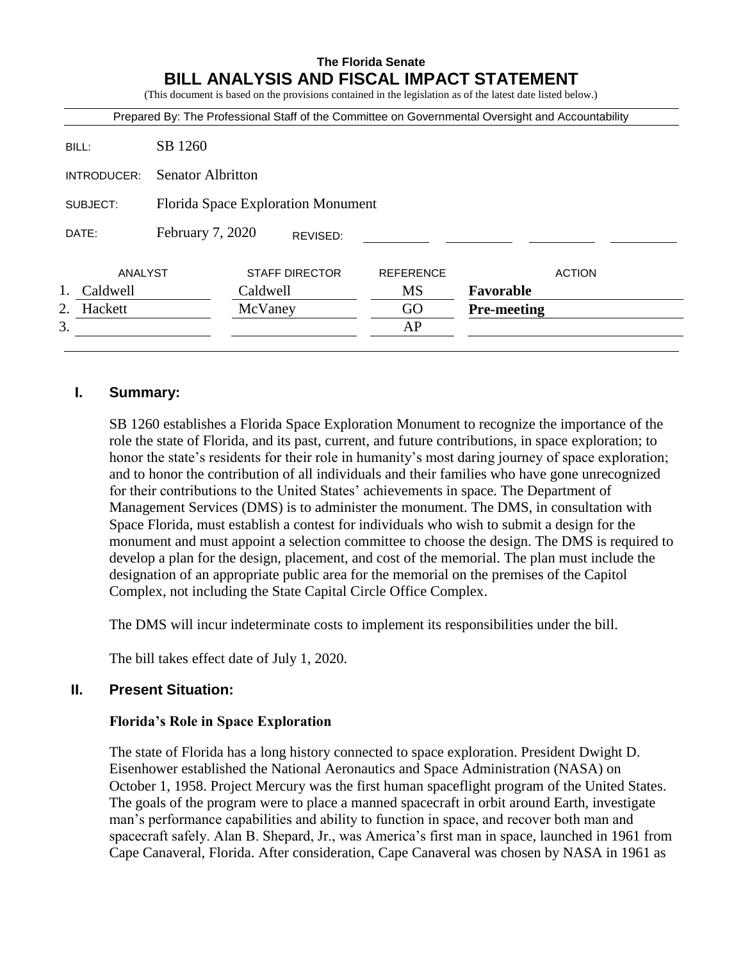# **The Florida Senate BILL ANALYSIS AND FISCAL IMPACT STATEMENT**

(This document is based on the provisions contained in the legislation as of the latest date listed below.)

|               |                                    |                       |          | Prepared By: The Professional Staff of the Committee on Governmental Oversight and Accountability |                    |               |
|---------------|------------------------------------|-----------------------|----------|---------------------------------------------------------------------------------------------------|--------------------|---------------|
| BILL:         | SB 1260                            |                       |          |                                                                                                   |                    |               |
| INTRODUCER:   | <b>Senator Albritton</b>           |                       |          |                                                                                                   |                    |               |
| SUBJECT:      | Florida Space Exploration Monument |                       |          |                                                                                                   |                    |               |
| DATE:         | February 7, 2020                   |                       | REVISED: |                                                                                                   |                    |               |
| ANALYST       |                                    | <b>STAFF DIRECTOR</b> |          | <b>REFERENCE</b>                                                                                  |                    | <b>ACTION</b> |
| Caldwell      |                                    | Caldwell              |          | <b>MS</b>                                                                                         | Favorable          |               |
| 2.<br>Hackett |                                    | McVaney               |          | GO                                                                                                | <b>Pre-meeting</b> |               |
| 3.            |                                    |                       |          | AP                                                                                                |                    |               |

### **I. Summary:**

SB 1260 establishes a Florida Space Exploration Monument to recognize the importance of the role the state of Florida, and its past, current, and future contributions, in space exploration; to honor the state's residents for their role in humanity's most daring journey of space exploration; and to honor the contribution of all individuals and their families who have gone unrecognized for their contributions to the United States' achievements in space. The Department of Management Services (DMS) is to administer the monument. The DMS, in consultation with Space Florida, must establish a contest for individuals who wish to submit a design for the monument and must appoint a selection committee to choose the design. The DMS is required to develop a plan for the design, placement, and cost of the memorial. The plan must include the designation of an appropriate public area for the memorial on the premises of the Capitol Complex, not including the State Capital Circle Office Complex.

The DMS will incur indeterminate costs to implement its responsibilities under the bill.

The bill takes effect date of July 1, 2020.

### **II. Present Situation:**

#### **Florida's Role in Space Exploration**

The state of Florida has a long history connected to space exploration. President Dwight D. Eisenhower established the National Aeronautics and Space Administration (NASA) on October 1, 1958. Project Mercury was the first human spaceflight program of the United States. The goals of the program were to place a manned spacecraft in orbit around Earth, investigate man's performance capabilities and ability to function in space, and recover both man and spacecraft safely. Alan B. Shepard, Jr., was America's first man in space, launched in 1961 from Cape Canaveral, Florida. After consideration, Cape Canaveral was chosen by NASA in 1961 as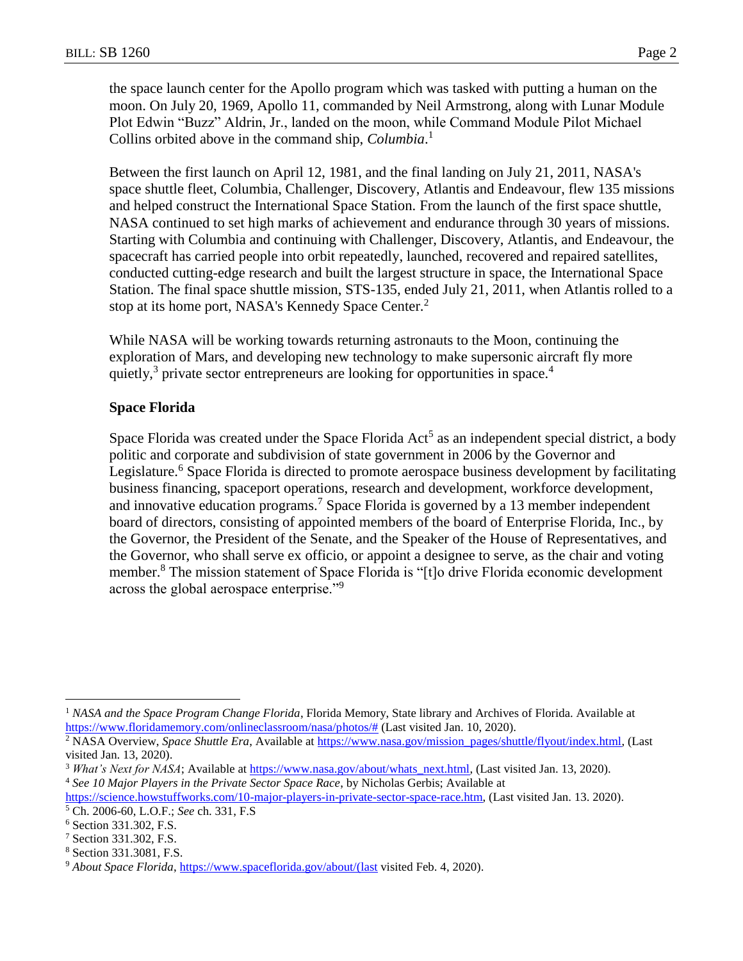the space launch center for the Apollo program which was tasked with putting a human on the moon. On July 20, 1969, Apollo 11, commanded by Neil Armstrong, along with Lunar Module Plot Edwin "Buzz" Aldrin, Jr., landed on the moon, while Command Module Pilot Michael Collins orbited above in the command ship, *Columbia*. 1

Between the first launch on April 12, 1981, and the final landing on July 21, 2011, NASA's space shuttle fleet, Columbia, Challenger, Discovery, Atlantis and Endeavour, flew 135 missions and helped construct the International Space Station. From the launch of the first space shuttle, NASA continued to set high marks of achievement and endurance through 30 years of missions. Starting with Columbia and continuing with Challenger, Discovery, Atlantis, and Endeavour, the spacecraft has carried people into orbit repeatedly, launched, recovered and repaired satellites, conducted cutting-edge research and built the largest structure in space, the International Space Station. The final space shuttle mission, STS-135, ended July 21, 2011, when Atlantis rolled to a stop at its home port, NASA's Kennedy Space Center.<sup>2</sup>

While NASA will be working towards returning astronauts to the Moon, continuing the exploration of Mars, and developing new technology to make supersonic aircraft fly more quietly,<sup>3</sup> private sector entrepreneurs are looking for opportunities in space.<sup>4</sup>

#### **Space Florida**

Space Florida was created under the Space Florida  $Act^5$  as an independent special district, a body politic and corporate and subdivision of state government in 2006 by the Governor and Legislature.<sup>6</sup> Space Florida is directed to promote aerospace business development by facilitating business financing, spaceport operations, research and development, workforce development, and innovative education programs.<sup>7</sup> Space Florida is governed by a 13 member independent board of directors, consisting of appointed members of the board of Enterprise Florida, Inc., by the Governor, the President of the Senate, and the Speaker of the House of Representatives, and the Governor, who shall serve ex officio, or appoint a designee to serve, as the chair and voting member.<sup>8</sup> The mission statement of Space Florida is "[t]o drive Florida economic development across the global aerospace enterprise."<sup>9</sup>

 $\overline{a}$ 

<sup>&</sup>lt;sup>1</sup> NASA and the Space Program Change Florida, Florida Memory, State library and Archives of Florida. Available at [https://www.floridamemory.com/onlineclassroom/nasa/photos/#](https://www.floridamemory.com/onlineclassroom/nasa/photos/) (Last visited Jan. 10, 2020).

<sup>&</sup>lt;sup>2</sup> NASA Overview, *Space Shuttle Era*, Available a[t https://www.nasa.gov/mission\\_pages/shuttle/flyout/index.html,](https://www.nasa.gov/mission_pages/shuttle/flyout/index.html) (Last visited Jan. 13, 2020).

<sup>&</sup>lt;sup>3</sup> *What's Next for NASA*; Available at [https://www.nasa.gov/about/whats\\_next.html,](https://www.nasa.gov/about/whats_next.html) (Last visited Jan. 13, 2020). <sup>4</sup> *See 10 Major Players in the Private Sector Space Race*, by Nicholas Gerbis; Available at

[https://science.howstuffworks.com/10-major-players-in-private-sector-space-race.htm,](https://science.howstuffworks.com/10-major-players-in-private-sector-space-race.htm) (Last visited Jan. 13. 2020). <sup>5</sup> Ch. 2006-60, L.O.F.; *See* ch. 331, F.S

<sup>6</sup> Section 331.302, F.S.

<sup>7</sup> Section 331.302, F.S.

<sup>8</sup> Section 331.3081, F.S.

<sup>9</sup> *About Space Florida*, [https://www.spaceflorida.gov/about/\(last](https://www.spaceflorida.gov/about/(last) visited Feb. 4, 2020).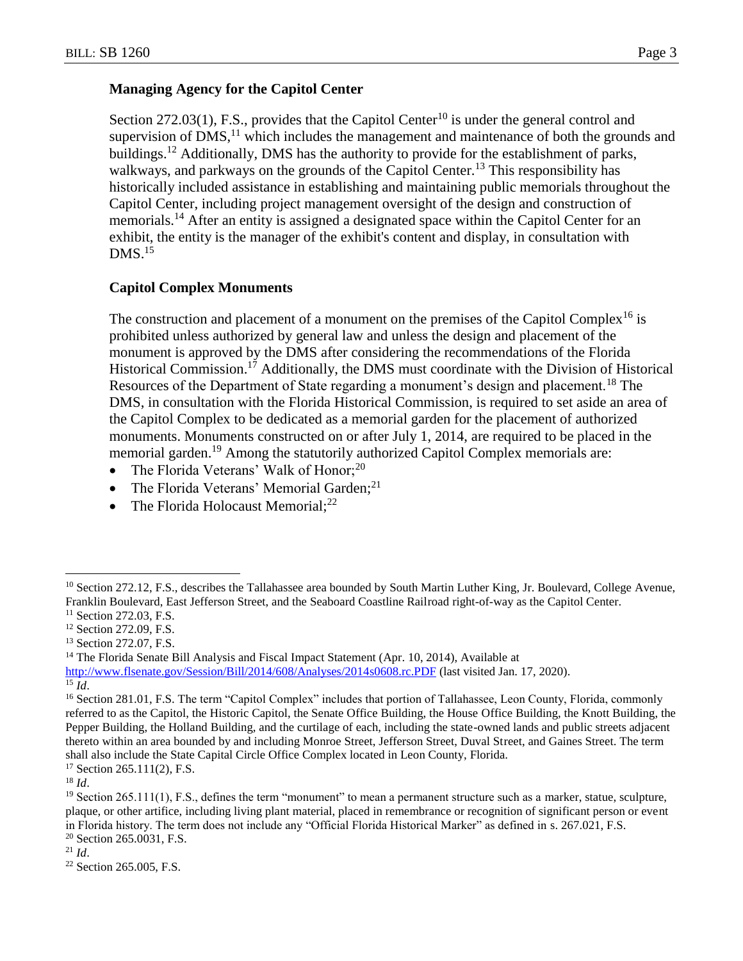## **Managing Agency for the Capitol Center**

Section 272.03(1), F.S., provides that the Capitol Center<sup>10</sup> is under the general control and supervision of  $DMS<sub>11</sub><sup>11</sup>$  which includes the management and maintenance of both the grounds and buildings.<sup>12</sup> Additionally, DMS has the authority to provide for the establishment of parks, walkways, and parkways on the grounds of the Capitol Center.<sup>13</sup> This responsibility has historically included assistance in establishing and maintaining public memorials throughout the Capitol Center, including project management oversight of the design and construction of memorials.<sup>14</sup> After an entity is assigned a designated space within the Capitol Center for an exhibit, the entity is the manager of the exhibit's content and display, in consultation with  $DMS<sup>15</sup>$ 

## **Capitol Complex Monuments**

The construction and placement of a monument on the premises of the Capitol Complex<sup>16</sup> is prohibited unless authorized by general law and unless the design and placement of the monument is approved by the DMS after considering the recommendations of the Florida Historical Commission.<sup>17</sup> Additionally, the DMS must coordinate with the Division of Historical Resources of the Department of State regarding a monument's design and placement.<sup>18</sup> The DMS, in consultation with the Florida Historical Commission, is required to set aside an area of the Capitol Complex to be dedicated as a memorial garden for the placement of authorized monuments. Monuments constructed on or after July 1, 2014, are required to be placed in the memorial garden.<sup>19</sup> Among the statutorily authorized Capitol Complex memorials are:

- The Florida Veterans' Walk of Honor; $^{20}$
- The Florida Veterans' Memorial Garden;<sup>21</sup>
- The Florida Holocaust Memorial; $^{22}$

<sup>17</sup> Section 265.111(2), F.S.

 $\overline{a}$ <sup>10</sup> Section 272.12, F.S., describes the Tallahassee area bounded by South Martin Luther King, Jr. Boulevard, College Avenue, Franklin Boulevard, East Jefferson Street, and the Seaboard Coastline Railroad right-of-way as the Capitol Center.

<sup>&</sup>lt;sup>11</sup> Section 272.03, F.S.

<sup>&</sup>lt;sup>12</sup> Section 272.09, F.S.

<sup>&</sup>lt;sup>13</sup> Section 272.07, F.S.

<sup>&</sup>lt;sup>14</sup> The Florida Senate Bill Analysis and Fiscal Impact Statement (Apr. 10, 2014), Available at <http://www.flsenate.gov/Session/Bill/2014/608/Analyses/2014s0608.rc.PDF> (last visited Jan. 17, 2020).

<sup>15</sup> *Id*.

<sup>&</sup>lt;sup>16</sup> Section 281.01, F.S. The term "Capitol Complex" includes that portion of Tallahassee, Leon County, Florida, commonly referred to as the Capitol, the Historic Capitol, the Senate Office Building, the House Office Building, the Knott Building, the Pepper Building, the Holland Building, and the curtilage of each, including the state-owned lands and public streets adjacent thereto within an area bounded by and including Monroe Street, Jefferson Street, Duval Street, and Gaines Street. The term shall also include the State Capital Circle Office Complex located in Leon County, Florida.

<sup>18</sup> *Id*.

<sup>&</sup>lt;sup>19</sup> Section 265.111(1), F.S., defines the term "monument" to mean a permanent structure such as a marker, statue, sculpture, plaque, or other artifice, including living plant material, placed in remembrance or recognition of significant person or event in Florida history. The term does not include any "Official Florida Historical Marker" as defined in s. 267.021, F.S. <sup>20</sup> Section 265.0031, F.S.

 $^{21}$  *Id.* 

<sup>22</sup> Section 265.005, F.S.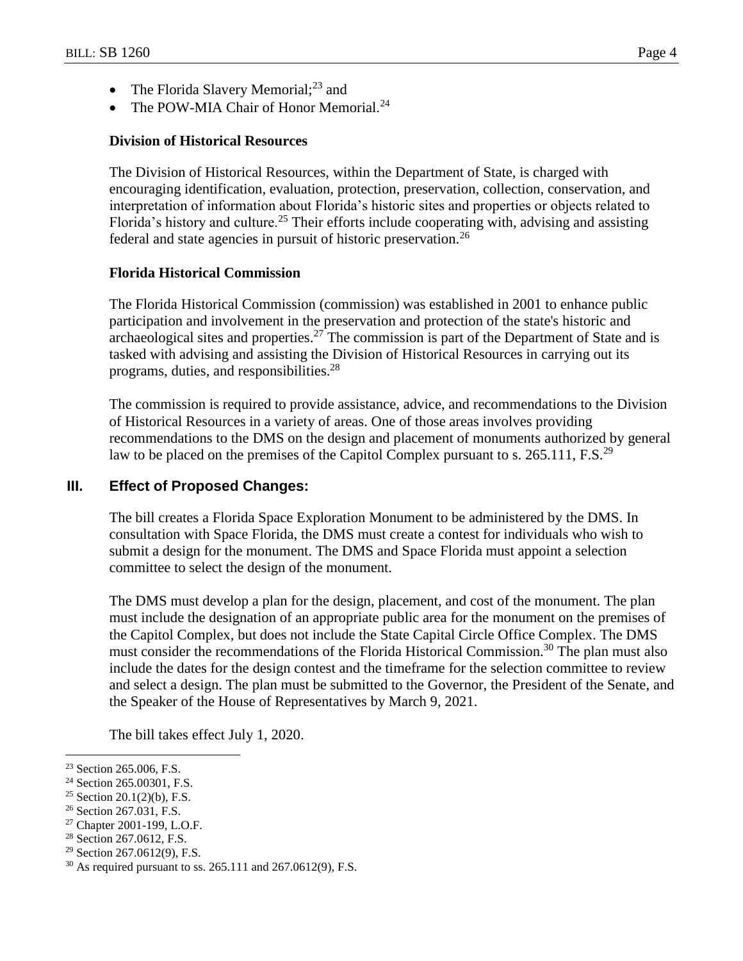- The Florida Slavery Memorial;<sup>23</sup> and
- The POW-MIA Chair of Honor Memorial.<sup>24</sup>

### **Division of Historical Resources**

The Division of Historical Resources, within the Department of State, is charged with encouraging identification, evaluation, protection, preservation, collection, conservation, and interpretation of information about Florida's historic sites and properties or objects related to Florida's history and culture.<sup>25</sup> Their efforts include cooperating with, advising and assisting federal and state agencies in pursuit of historic preservation.<sup>26</sup>

### **Florida Historical Commission**

The Florida Historical Commission (commission) was established in 2001 to enhance public participation and involvement in the preservation and protection of the state's historic and archaeological sites and properties.<sup>27</sup> The commission is part of the Department of State and is tasked with advising and assisting the Division of Historical Resources in carrying out its programs, duties, and responsibilities.<sup>28</sup>

The commission is required to provide assistance, advice, and recommendations to the Division of Historical Resources in a variety of areas. One of those areas involves providing recommendations to the DMS on the design and placement of monuments authorized by general law to be placed on the premises of the Capitol Complex pursuant to s. 265.111, F.S.<sup>29</sup>

### **III. Effect of Proposed Changes:**

The bill creates a Florida Space Exploration Monument to be administered by the DMS. In consultation with Space Florida, the DMS must create a contest for individuals who wish to submit a design for the monument. The DMS and Space Florida must appoint a selection committee to select the design of the monument.

The DMS must develop a plan for the design, placement, and cost of the monument. The plan must include the designation of an appropriate public area for the monument on the premises of the Capitol Complex, but does not include the State Capital Circle Office Complex. The DMS must consider the recommendations of the Florida Historical Commission.<sup>30</sup> The plan must also include the dates for the design contest and the timeframe for the selection committee to review and select a design. The plan must be submitted to the Governor, the President of the Senate, and the Speaker of the House of Representatives by March 9, 2021.

The bill takes effect July 1, 2020.

 $\overline{a}$ 

<sup>26</sup> Section 267.031, F.S.

<sup>&</sup>lt;sup>23</sup> Section 265.006, F.S.

<sup>24</sup> Section 265.00301, F.S.

<sup>&</sup>lt;sup>25</sup> Section 20.1(2)(b), F.S.

<sup>27</sup> Chapter 2001-199, L.O.F.

<sup>28</sup> Section 267.0612, F.S.

<sup>29</sup> Section 267.0612(9), F.S.

<sup>30</sup> As required pursuant to ss. 265.111 and 267.0612(9), F.S.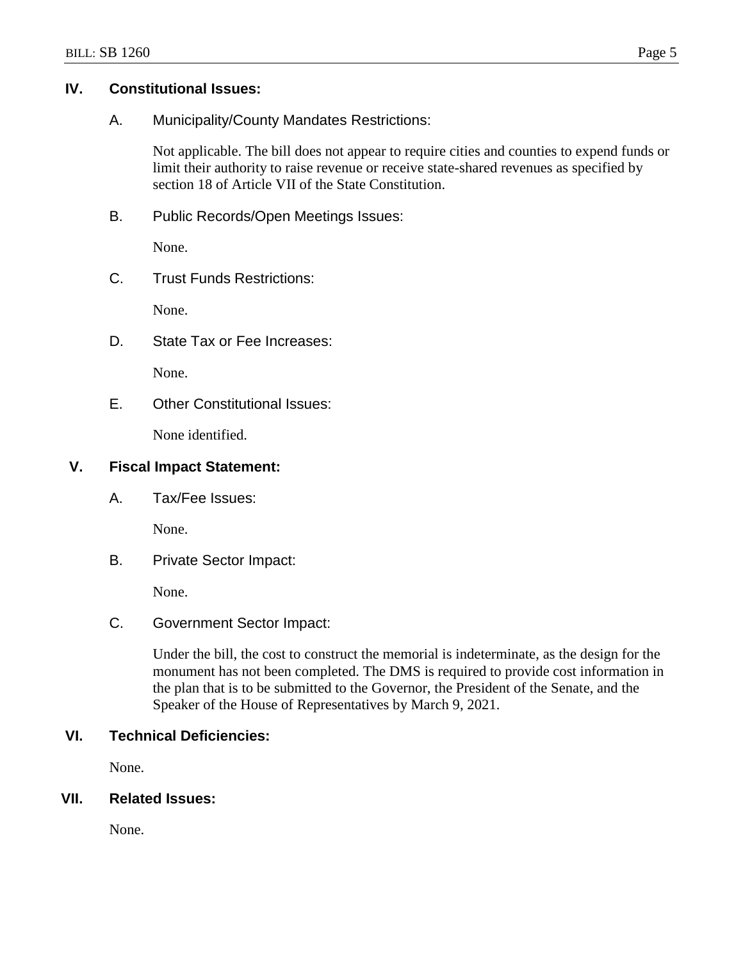### **IV. Constitutional Issues:**

A. Municipality/County Mandates Restrictions:

Not applicable. The bill does not appear to require cities and counties to expend funds or limit their authority to raise revenue or receive state-shared revenues as specified by section 18 of Article VII of the State Constitution.

B. Public Records/Open Meetings Issues:

None.

C. Trust Funds Restrictions:

None.

D. State Tax or Fee Increases:

None.

E. Other Constitutional Issues:

None identified.

### **V. Fiscal Impact Statement:**

A. Tax/Fee Issues:

None.

B. Private Sector Impact:

None.

## C. Government Sector Impact:

Under the bill, the cost to construct the memorial is indeterminate, as the design for the monument has not been completed. The DMS is required to provide cost information in the plan that is to be submitted to the Governor, the President of the Senate, and the Speaker of the House of Representatives by March 9, 2021.

# **VI. Technical Deficiencies:**

None.

## **VII. Related Issues:**

None.